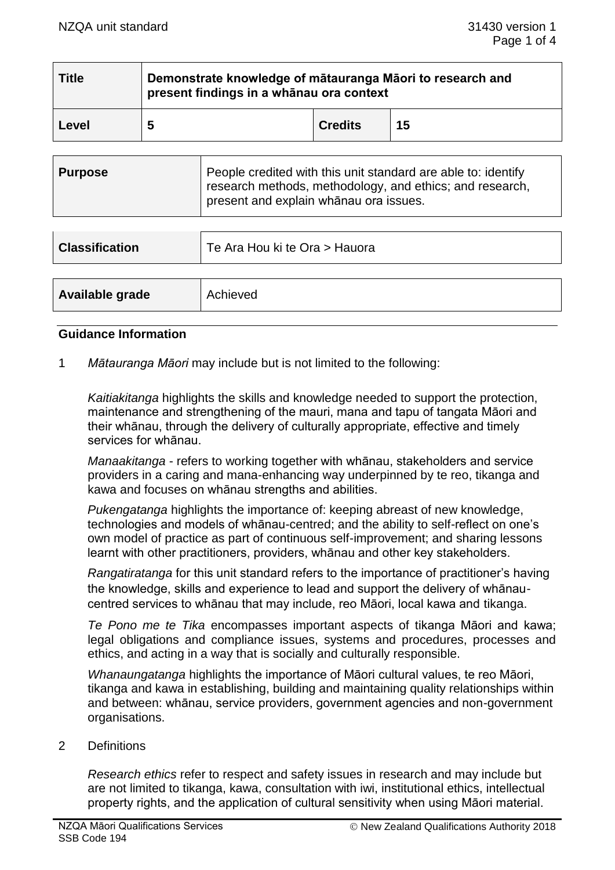| <b>Title</b> | Demonstrate knowledge of mātauranga Māori to research and<br>present findings in a whānau ora context |                |    |
|--------------|-------------------------------------------------------------------------------------------------------|----------------|----|
| Level        | 5                                                                                                     | <b>Credits</b> | 15 |

| <b>Purpose</b>                         | People credited with this unit standard are able to: identify |
|----------------------------------------|---------------------------------------------------------------|
| present and explain whanau ora issues. | research methods, methodology, and ethics; and research,      |

| <b>Classification</b> | Te Ara Hou ki te Ora > Hauora |
|-----------------------|-------------------------------|
|                       |                               |
| Available grade       | Achieved                      |

#### **Guidance Information**

1 *Mātauranga Māori* may include but is not limited to the following:

*Kaitiakitanga* highlights the skills and knowledge needed to support the protection, maintenance and strengthening of the mauri, mana and tapu of tangata Māori and their whānau, through the delivery of culturally appropriate, effective and timely services for whānau.

*Manaakitanga* - refers to working together with whānau, stakeholders and service providers in a caring and mana-enhancing way underpinned by te reo, tikanga and kawa and focuses on whānau strengths and abilities.

*Pukengatanga* highlights the importance of: keeping abreast of new knowledge, technologies and models of whānau-centred; and the ability to self-reflect on one's own model of practice as part of continuous self-improvement; and sharing lessons learnt with other practitioners, providers, whānau and other key stakeholders.

*Rangatiratanga* for this unit standard refers to the importance of practitioner's having the knowledge, skills and experience to lead and support the delivery of whānaucentred services to whānau that may include, reo Māori, local kawa and tikanga.

*Te Pono me te Tika* encompasses important aspects of tikanga Māori and kawa; legal obligations and compliance issues, systems and procedures, processes and ethics, and acting in a way that is socially and culturally responsible.

*Whanaungatanga* highlights the importance of Māori cultural values, te reo Māori, tikanga and kawa in establishing, building and maintaining quality relationships within and between: whānau, service providers, government agencies and non-government organisations.

#### 2 Definitions

*Research ethics* refer to respect and safety issues in research and may include but are not limited to tikanga, kawa, consultation with iwi, institutional ethics, intellectual property rights, and the application of cultural sensitivity when using Māori material.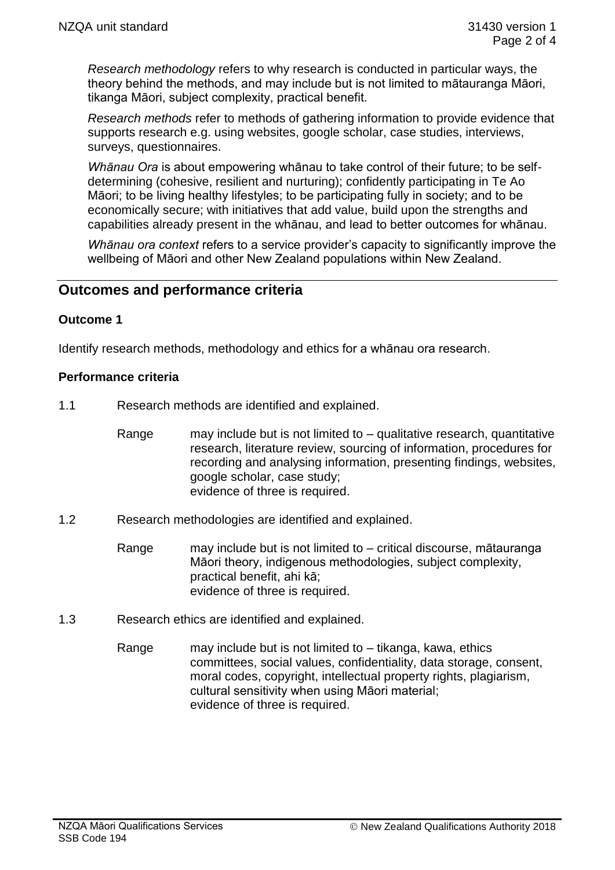*Research methodology* refers to why research is conducted in particular ways, the theory behind the methods, and may include but is not limited to mātauranga Māori, tikanga Māori, subject complexity, practical benefit.

*Research methods* refer to methods of gathering information to provide evidence that supports research e.g. using websites, google scholar, case studies, interviews, surveys, questionnaires.

*Whānau Ora* is about empowering whānau to take control of their future; to be selfdetermining (cohesive, resilient and nurturing); confidently participating in Te Ao Māori; to be living healthy lifestyles; to be participating fully in society; and to be economically secure; with initiatives that add value, build upon the strengths and capabilities already present in the whānau, and lead to better outcomes for whānau.

*Whānau ora context* refers to a service provider's capacity to significantly improve the wellbeing of Māori and other New Zealand populations within New Zealand.

# **Outcomes and performance criteria**

## **Outcome 1**

Identify research methods, methodology and ethics for a whānau ora research.

## **Performance criteria**

- 1.1 Research methods are identified and explained.
	- Range may include but is not limited to qualitative research, quantitative research, literature review, sourcing of information, procedures for recording and analysing information, presenting findings, websites, google scholar, case study; evidence of three is required.
- 1.2 Research methodologies are identified and explained.
	- Range may include but is not limited to critical discourse, mātauranga Māori theory, indigenous methodologies, subject complexity, practical benefit, ahi kā; evidence of three is required.
- 1.3 Research ethics are identified and explained.
	- Range may include but is not limited to  $-$  tikanga, kawa, ethics committees, social values, confidentiality, data storage, consent, moral codes, copyright, intellectual property rights, plagiarism, cultural sensitivity when using Māori material; evidence of three is required.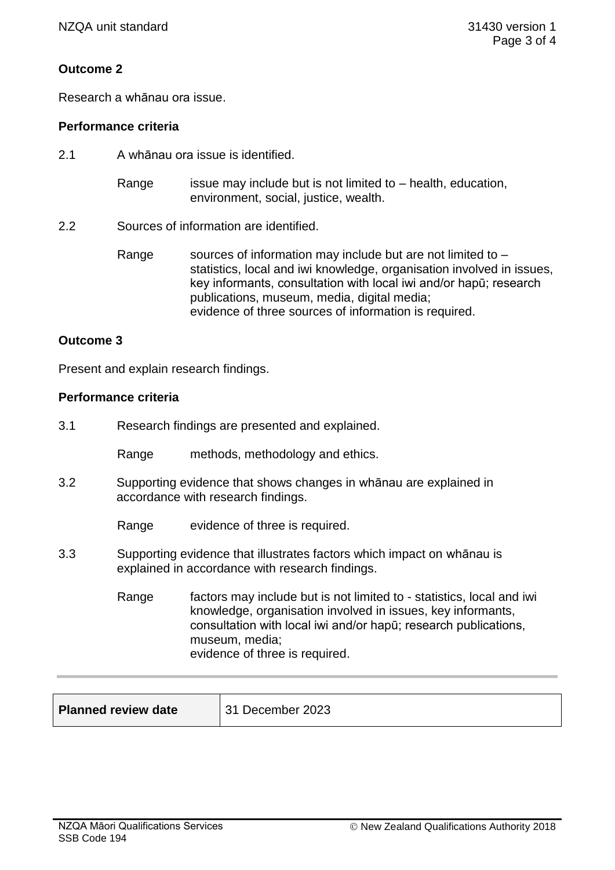## **Outcome 2**

Research a whānau ora issue.

## **Performance criteria**

- 2.1 A whānau ora issue is identified.
	- Range issue may include but is not limited to  $-$  health, education, environment, social, justice, wealth.
- 2.2 Sources of information are identified.
	- Range sources of information may include but are not limited to  $$ statistics, local and iwi knowledge, organisation involved in issues, key informants, consultation with local iwi and/or hapū; research publications, museum, media, digital media; evidence of three sources of information is required.

## **Outcome 3**

Present and explain research findings.

## **Performance criteria**

3.1 Research findings are presented and explained.

Range methods, methodology and ethics.

3.2 Supporting evidence that shows changes in whānau are explained in accordance with research findings.

Range evidence of three is required.

- 3.3 Supporting evidence that illustrates factors which impact on whānau is explained in accordance with research findings.
	- Range factors may include but is not limited to statistics, local and iwi knowledge, organisation involved in issues, key informants, consultation with local iwi and/or hapū; research publications, museum, media; evidence of three is required.

| <b>Planned review date</b> | 31 December 2023 |
|----------------------------|------------------|
|                            |                  |